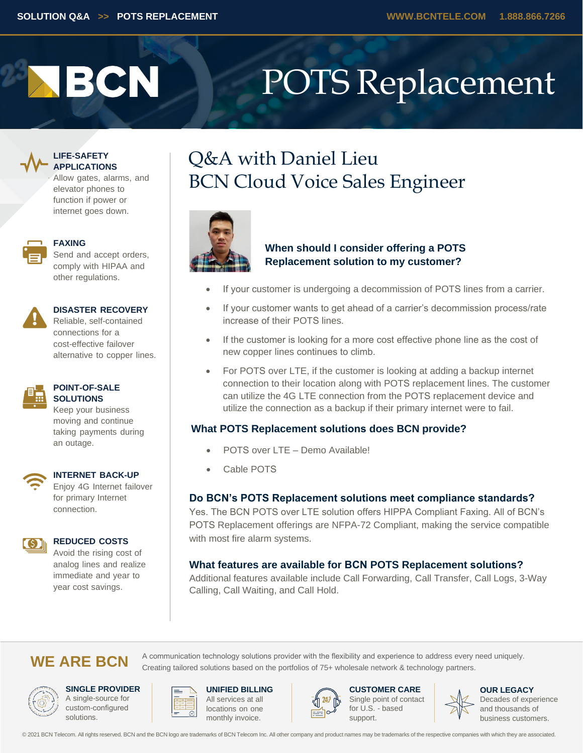# **ABCN**

## POTS Replacement



### **LIFE-SAFETY APPLICATIONS**

Allow gates, alarms, and elevator phones to function if power or internet goes down.



### **FAXING**

Send and accept orders, comply with HIPAA and other regulations.



### **DISASTER RECOVERY**

Reliable, self-contained connections for a cost-effective failover alternative to copper lines.



### **POINT-OF-SALE SOLUTIONS**

Keep your business moving and continue taking payments during an outage.



### **INTERNET BACK-UP**

Enjoy 4G Internet failover for primary Internet connection.



### **REDUCED COSTS**

Avoid the rising cost of analog lines and realize immediate and year to year cost savings.

## Q&A with Daniel Lieu BCN Cloud Voice Sales Engineer



### **When should I consider offering a POTS Replacement solution to my customer?**

- If your customer is undergoing a decommission of POTS lines from a carrier.
- If your customer wants to get ahead of a carrier's decommission process/rate increase of their POTS lines.
- If the customer is looking for a more cost effective phone line as the cost of new copper lines continues to climb.
- For POTS over LTE, if the customer is looking at adding a backup internet connection to their location along with POTS replacement lines. The customer can utilize the 4G LTE connection from the POTS replacement device and utilize the connection as a backup if their primary internet were to fail.

### **What POTS Replacement solutions does BCN provide?**

- POTS over LTE Demo Available!
- Cable POTS

### **Do BCN's POTS Replacement solutions meet compliance standards?**

Yes. The BCN POTS over LTE solution offers HIPPA Compliant Faxing. All of BCN's POTS Replacement offerings are NFPA-72 Compliant, making the service compatible with most fire alarm systems.

### **What features are available for BCN POTS Replacement solutions?**

Additional features available include Call Forwarding, Call Transfer, Call Logs, 3-Way Calling, Call Waiting, and Call Hold.

### WE ARE BCN A communication technology solutions provider with the flexibility and experience to address every need uniquely.



**SINGLE PROVIDER** A single-source for custom-configured solutions.



**UNIFIED BILLING** All services at all locations on one monthly invoice.



Creating tailored solutions based on the portfolios of 75+ wholesale network & technology partners.

**CUSTOMER CARE** Single point of contact for U.S. - based support.



**OUR LEGACY** Decades of experience and thousands of business customers.

© 2021 BCN Telecom. All rights reserved. BCN and the BCN logo are trademarks of BCN Telecom Inc. All other company and product names may be trademarks of the respective companies with which they are associated.